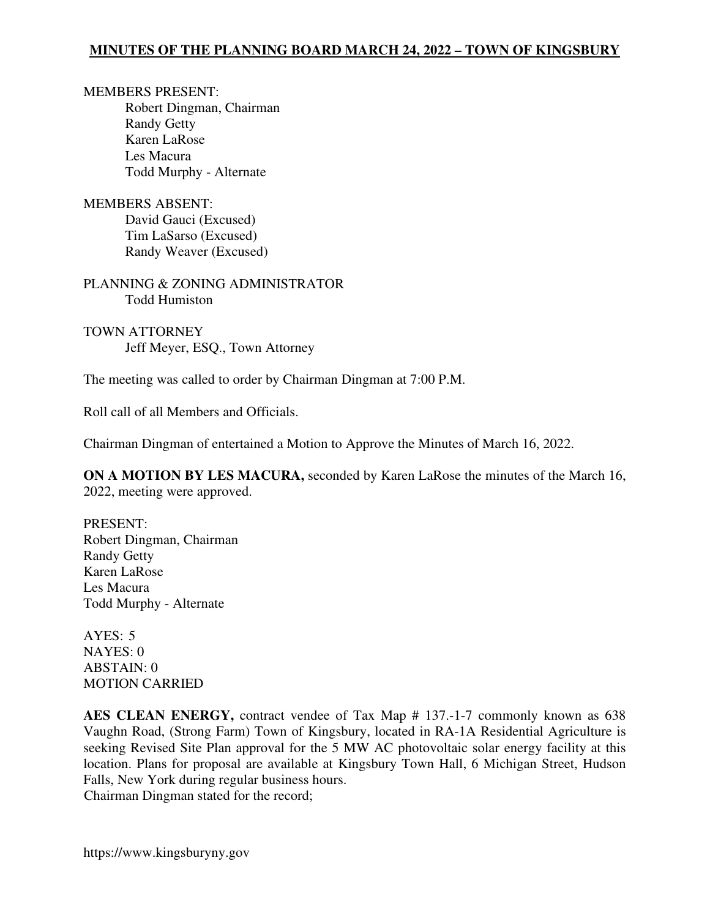MEMBERS PRESENT: Robert Dingman, Chairman Randy Getty Karen LaRose Les Macura Todd Murphy - Alternate

MEMBERS ABSENT: David Gauci (Excused) Tim LaSarso (Excused) Randy Weaver (Excused)

PLANNING & ZONING ADMINISTRATOR Todd Humiston

TOWN ATTORNEY Jeff Meyer, ESQ., Town Attorney

The meeting was called to order by Chairman Dingman at 7:00 P.M.

Roll call of all Members and Officials.

Chairman Dingman of entertained a Motion to Approve the Minutes of March 16, 2022.

**ON A MOTION BY LES MACURA,** seconded by Karen LaRose the minutes of the March 16, 2022, meeting were approved.

PRESENT: Robert Dingman, Chairman Randy Getty Karen LaRose Les Macura Todd Murphy - Alternate

AYES: 5 NAYES: 0 ABSTAIN: 0 MOTION CARRIED

**AES CLEAN ENERGY,** contract vendee of Tax Map # 137.-1-7 commonly known as 638 Vaughn Road, (Strong Farm) Town of Kingsbury, located in RA-1A Residential Agriculture is seeking Revised Site Plan approval for the 5 MW AC photovoltaic solar energy facility at this location. Plans for proposal are available at Kingsbury Town Hall, 6 Michigan Street, Hudson Falls, New York during regular business hours. Chairman Dingman stated for the record;

https://www.kingsburyny.gov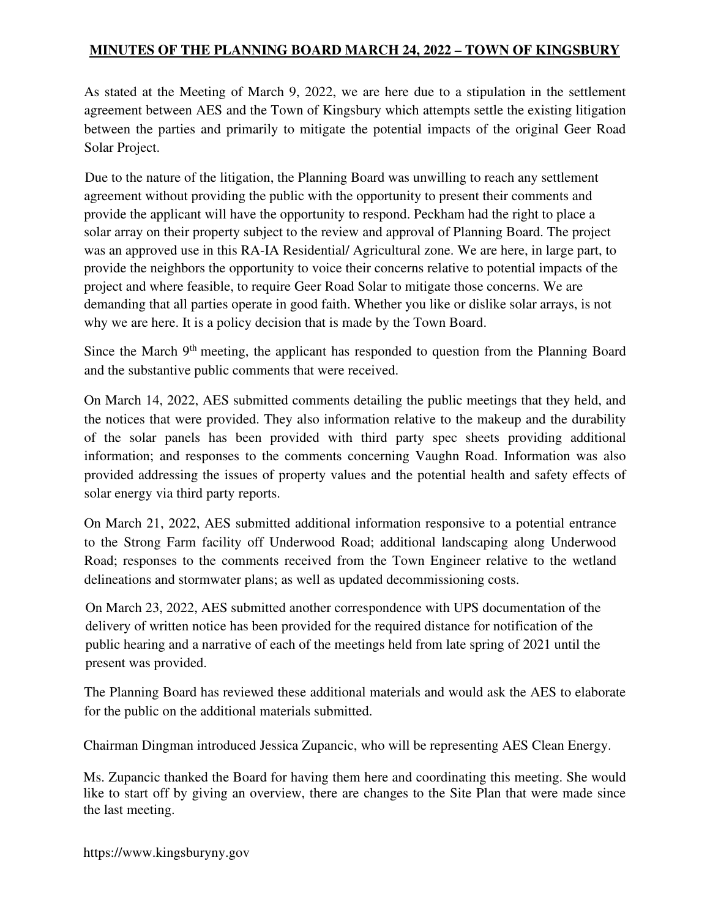As stated at the Meeting of March 9, 2022, we are here due to a stipulation in the settlement agreement between AES and the Town of Kingsbury which attempts settle the existing litigation between the parties and primarily to mitigate the potential impacts of the original Geer Road Solar Project.

Due to the nature of the litigation, the Planning Board was unwilling to reach any settlement agreement without providing the public with the opportunity to present their comments and provide the applicant will have the opportunity to respond. Peckham had the right to place a solar array on their property subject to the review and approval of Planning Board. The project was an approved use in this RA-IA Residential/ Agricultural zone. We are here, in large part, to provide the neighbors the opportunity to voice their concerns relative to potential impacts of the project and where feasible, to require Geer Road Solar to mitigate those concerns. We are demanding that all parties operate in good faith. Whether you like or dislike solar arrays, is not why we are here. It is a policy decision that is made by the Town Board.

Since the March 9<sup>th</sup> meeting, the applicant has responded to question from the Planning Board and the substantive public comments that were received.

On March 14, 2022, AES submitted comments detailing the public meetings that they held, and the notices that were provided. They also information relative to the makeup and the durability of the solar panels has been provided with third party spec sheets providing additional information; and responses to the comments concerning Vaughn Road. Information was also provided addressing the issues of property values and the potential health and safety effects of solar energy via third party reports.

On March 21, 2022, AES submitted additional information responsive to a potential entrance to the Strong Farm facility off Underwood Road; additional landscaping along Underwood Road; responses to the comments received from the Town Engineer relative to the wetland delineations and stormwater plans; as well as updated decommissioning costs.

On March 23, 2022, AES submitted another correspondence with UPS documentation of the delivery of written notice has been provided for the required distance for notification of the public hearing and a narrative of each of the meetings held from late spring of 2021 until the present was provided.

The Planning Board has reviewed these additional materials and would ask the AES to elaborate for the public on the additional materials submitted.

Chairman Dingman introduced Jessica Zupancic, who will be representing AES Clean Energy.

Ms. Zupancic thanked the Board for having them here and coordinating this meeting. She would like to start off by giving an overview, there are changes to the Site Plan that were made since the last meeting.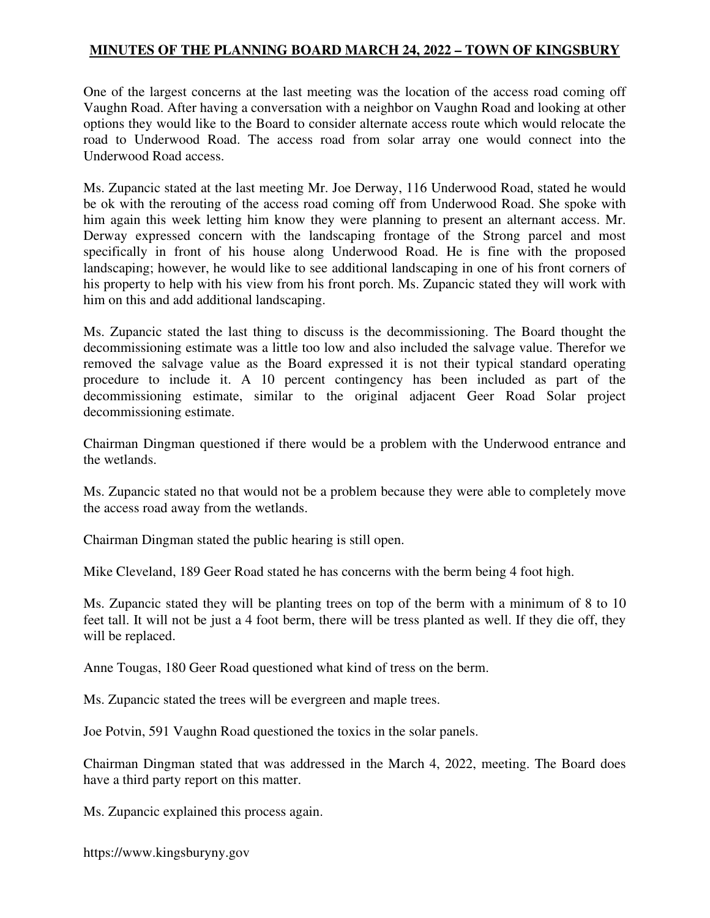One of the largest concerns at the last meeting was the location of the access road coming off Vaughn Road. After having a conversation with a neighbor on Vaughn Road and looking at other options they would like to the Board to consider alternate access route which would relocate the road to Underwood Road. The access road from solar array one would connect into the Underwood Road access.

Ms. Zupancic stated at the last meeting Mr. Joe Derway, 116 Underwood Road, stated he would be ok with the rerouting of the access road coming off from Underwood Road. She spoke with him again this week letting him know they were planning to present an alternant access. Mr. Derway expressed concern with the landscaping frontage of the Strong parcel and most specifically in front of his house along Underwood Road. He is fine with the proposed landscaping; however, he would like to see additional landscaping in one of his front corners of his property to help with his view from his front porch. Ms. Zupancic stated they will work with him on this and add additional landscaping.

Ms. Zupancic stated the last thing to discuss is the decommissioning. The Board thought the decommissioning estimate was a little too low and also included the salvage value. Therefor we removed the salvage value as the Board expressed it is not their typical standard operating procedure to include it. A 10 percent contingency has been included as part of the decommissioning estimate, similar to the original adjacent Geer Road Solar project decommissioning estimate.

Chairman Dingman questioned if there would be a problem with the Underwood entrance and the wetlands.

Ms. Zupancic stated no that would not be a problem because they were able to completely move the access road away from the wetlands.

Chairman Dingman stated the public hearing is still open.

Mike Cleveland, 189 Geer Road stated he has concerns with the berm being 4 foot high.

Ms. Zupancic stated they will be planting trees on top of the berm with a minimum of 8 to 10 feet tall. It will not be just a 4 foot berm, there will be tress planted as well. If they die off, they will be replaced.

Anne Tougas, 180 Geer Road questioned what kind of tress on the berm.

Ms. Zupancic stated the trees will be evergreen and maple trees.

Joe Potvin, 591 Vaughn Road questioned the toxics in the solar panels.

Chairman Dingman stated that was addressed in the March 4, 2022, meeting. The Board does have a third party report on this matter.

Ms. Zupancic explained this process again.

https://www.kingsburyny.gov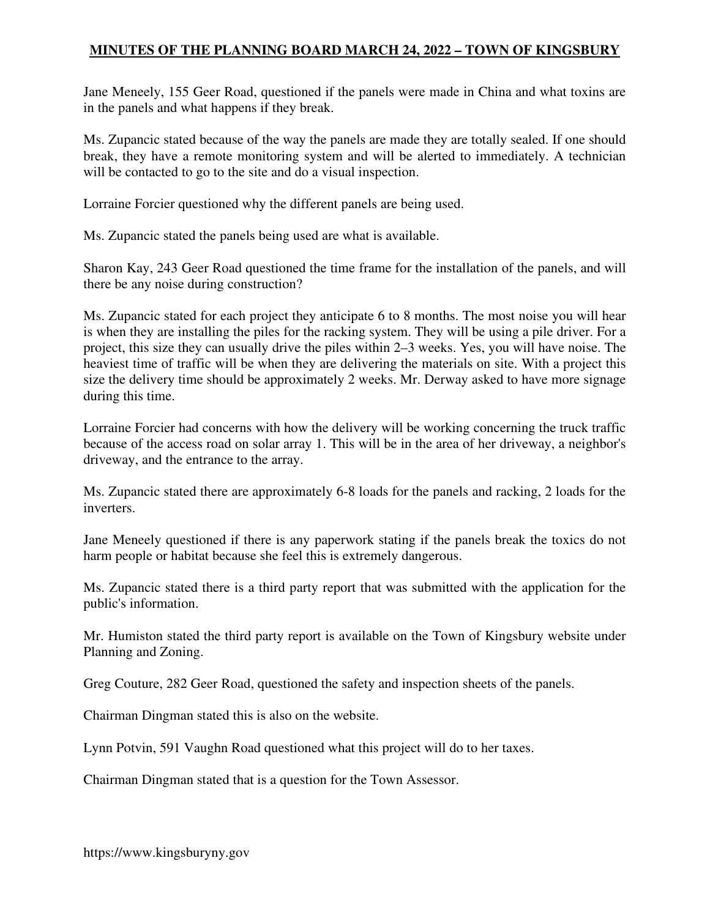Jane Meneely, 155 Geer Road, questioned if the panels were made in China and what toxins are in the panels and what happens if they break.

Ms. Zupancic stated because of the way the panels are made they are totally sealed. If one should break, they have a remote monitoring system and will be alerted to immediately. A technician will be contacted to go to the site and do a visual inspection.

Lorraine Forcier questioned why the different panels are being used.

Ms. Zupancic stated the panels being used are what is available.

Sharon Kay, 243 Geer Road questioned the time frame for the installation of the panels, and will there be any noise during construction?

Ms. Zupancic stated for each project they anticipate 6 to 8 months. The most noise you will hear is when they are installing the piles for the racking system. They will be using a pile driver. For a project, this size they can usually drive the piles within 2–3 weeks. Yes, you will have noise. The heaviest time of traffic will be when they are delivering the materials on site. With a project this size the delivery time should be approximately 2 weeks. Mr. Derway asked to have more signage during this time.

Lorraine Forcier had concerns with how the delivery will be working concerning the truck traffic because of the access road on solar array 1. This will be in the area of her driveway, a neighbor's driveway, and the entrance to the array.

Ms. Zupancic stated there are approximately 6-8 loads for the panels and racking, 2 loads for the inverters.

Jane Meneely questioned if there is any paperwork stating if the panels break the toxics do not harm people or habitat because she feel this is extremely dangerous.

Ms. Zupancic stated there is a third party report that was submitted with the application for the public's information.

Mr. Humiston stated the third party report is available on the Town of Kingsbury website under Planning and Zoning.

Greg Couture, 282 Geer Road, questioned the safety and inspection sheets of the panels.

Chairman Dingman stated this is also on the website.

Lynn Potvin, 591 Vaughn Road questioned what this project will do to her taxes.

Chairman Dingman stated that is a question for the Town Assessor.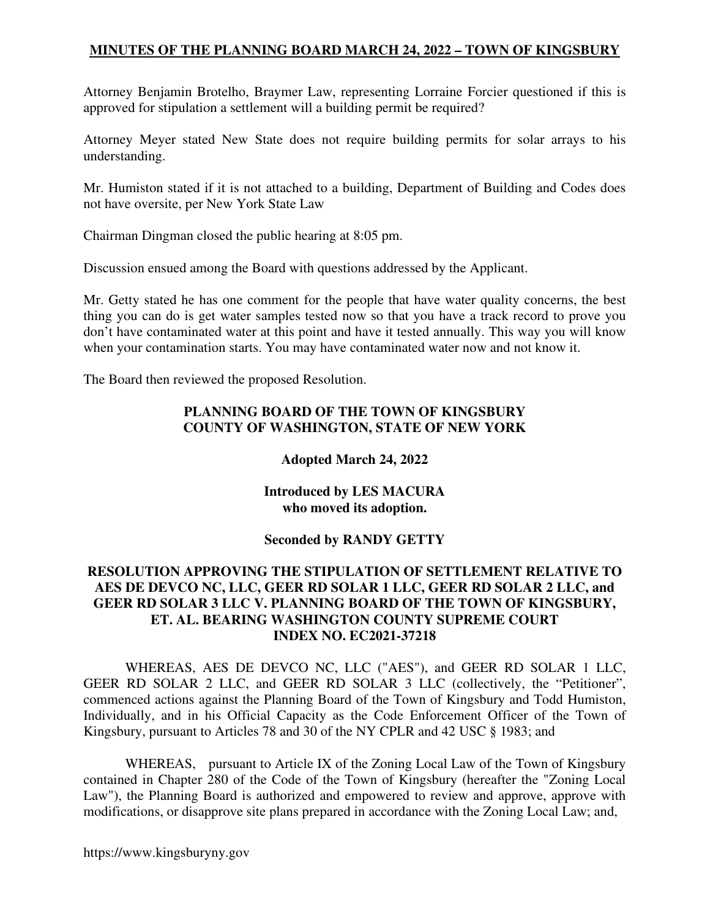Attorney Benjamin Brotelho, Braymer Law, representing Lorraine Forcier questioned if this is approved for stipulation a settlement will a building permit be required?

Attorney Meyer stated New State does not require building permits for solar arrays to his understanding.

Mr. Humiston stated if it is not attached to a building, Department of Building and Codes does not have oversite, per New York State Law

Chairman Dingman closed the public hearing at 8:05 pm.

Discussion ensued among the Board with questions addressed by the Applicant.

Mr. Getty stated he has one comment for the people that have water quality concerns, the best thing you can do is get water samples tested now so that you have a track record to prove you don't have contaminated water at this point and have it tested annually. This way you will know when your contamination starts. You may have contaminated water now and not know it.

The Board then reviewed the proposed Resolution.

#### **PLANNING BOARD OF THE TOWN OF KINGSBURY COUNTY OF WASHINGTON, STATE OF NEW YORK**

### **Adopted March 24, 2022**

#### **Introduced by LES MACURA who moved its adoption.**

### **Seconded by RANDY GETTY**

#### **RESOLUTION APPROVING THE STIPULATION OF SETTLEMENT RELATIVE TO AES DE DEVCO NC, LLC, GEER RD SOLAR 1 LLC, GEER RD SOLAR 2 LLC, and GEER RD SOLAR 3 LLC V. PLANNING BOARD OF THE TOWN OF KINGSBURY, ET. AL. BEARING WASHINGTON COUNTY SUPREME COURT INDEX NO. EC2021-37218**

WHEREAS, AES DE DEVCO NC, LLC ("AES"), and GEER RD SOLAR 1 LLC, GEER RD SOLAR 2 LLC, and GEER RD SOLAR 3 LLC (collectively, the "Petitioner", commenced actions against the Planning Board of the Town of Kingsbury and Todd Humiston, Individually, and in his Official Capacity as the Code Enforcement Officer of the Town of Kingsbury, pursuant to Articles 78 and 30 of the NY CPLR and 42 USC § 1983; and

WHEREAS, pursuant to Article IX of the Zoning Local Law of the Town of Kingsbury contained in Chapter 280 of the Code of the Town of Kingsbury (hereafter the "Zoning Local Law"), the Planning Board is authorized and empowered to review and approve, approve with modifications, or disapprove site plans prepared in accordance with the Zoning Local Law; and,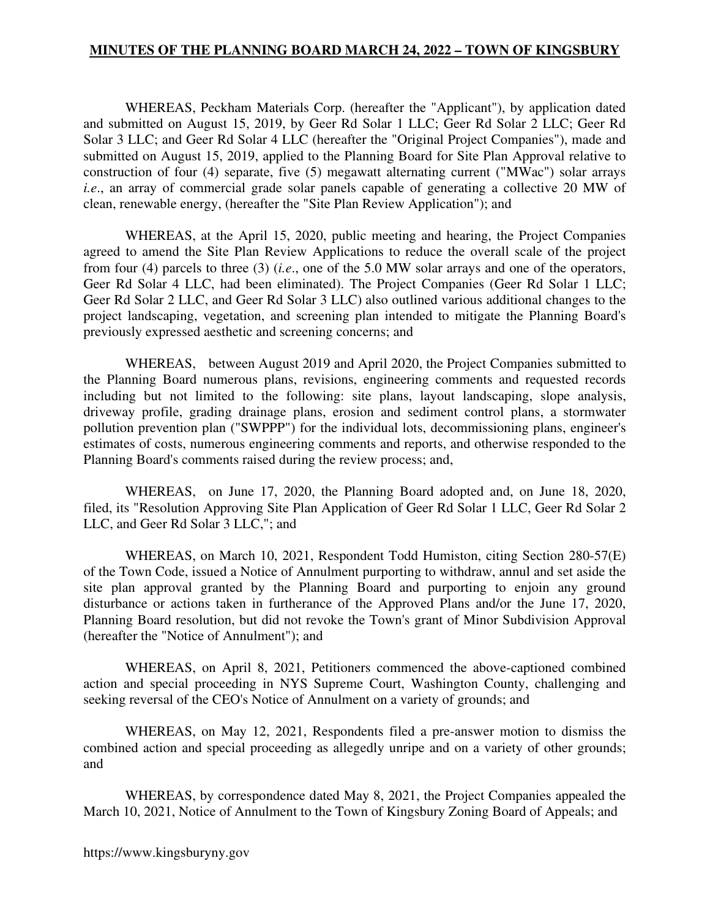WHEREAS, Peckham Materials Corp. (hereafter the "Applicant"), by application dated and submitted on August 15, 2019, by Geer Rd Solar 1 LLC; Geer Rd Solar 2 LLC; Geer Rd Solar 3 LLC; and Geer Rd Solar 4 LLC (hereafter the "Original Project Companies"), made and submitted on August 15, 2019, applied to the Planning Board for Site Plan Approval relative to construction of four (4) separate, five (5) megawatt alternating current ("MWac") solar arrays *i.e.*, an array of commercial grade solar panels capable of generating a collective 20 MW of clean, renewable energy, (hereafter the "Site Plan Review Application"); and

WHEREAS, at the April 15, 2020, public meeting and hearing, the Project Companies agreed to amend the Site Plan Review Applications to reduce the overall scale of the project from four (4) parcels to three (3) (*i.e*., one of the 5.0 MW solar arrays and one of the operators, Geer Rd Solar 4 LLC, had been eliminated). The Project Companies (Geer Rd Solar 1 LLC; Geer Rd Solar 2 LLC, and Geer Rd Solar 3 LLC) also outlined various additional changes to the project landscaping, vegetation, and screening plan intended to mitigate the Planning Board's previously expressed aesthetic and screening concerns; and

WHEREAS, between August 2019 and April 2020, the Project Companies submitted to the Planning Board numerous plans, revisions, engineering comments and requested records including but not limited to the following: site plans, layout landscaping, slope analysis, driveway profile, grading drainage plans, erosion and sediment control plans, a stormwater pollution prevention plan ("SWPPP") for the individual lots, decommissioning plans, engineer's estimates of costs, numerous engineering comments and reports, and otherwise responded to the Planning Board's comments raised during the review process; and,

WHEREAS, on June 17, 2020, the Planning Board adopted and, on June 18, 2020, filed, its "Resolution Approving Site Plan Application of Geer Rd Solar 1 LLC, Geer Rd Solar 2 LLC, and Geer Rd Solar 3 LLC,"; and

WHEREAS, on March 10, 2021, Respondent Todd Humiston, citing Section 280-57(E) of the Town Code, issued a Notice of Annulment purporting to withdraw, annul and set aside the site plan approval granted by the Planning Board and purporting to enjoin any ground disturbance or actions taken in furtherance of the Approved Plans and/or the June 17, 2020, Planning Board resolution, but did not revoke the Town's grant of Minor Subdivision Approval (hereafter the "Notice of Annulment"); and

WHEREAS, on April 8, 2021, Petitioners commenced the above-captioned combined action and special proceeding in NYS Supreme Court, Washington County, challenging and seeking reversal of the CEO's Notice of Annulment on a variety of grounds; and

WHEREAS, on May 12, 2021, Respondents filed a pre-answer motion to dismiss the combined action and special proceeding as allegedly unripe and on a variety of other grounds; and

WHEREAS, by correspondence dated May 8, 2021, the Project Companies appealed the March 10, 2021, Notice of Annulment to the Town of Kingsbury Zoning Board of Appeals; and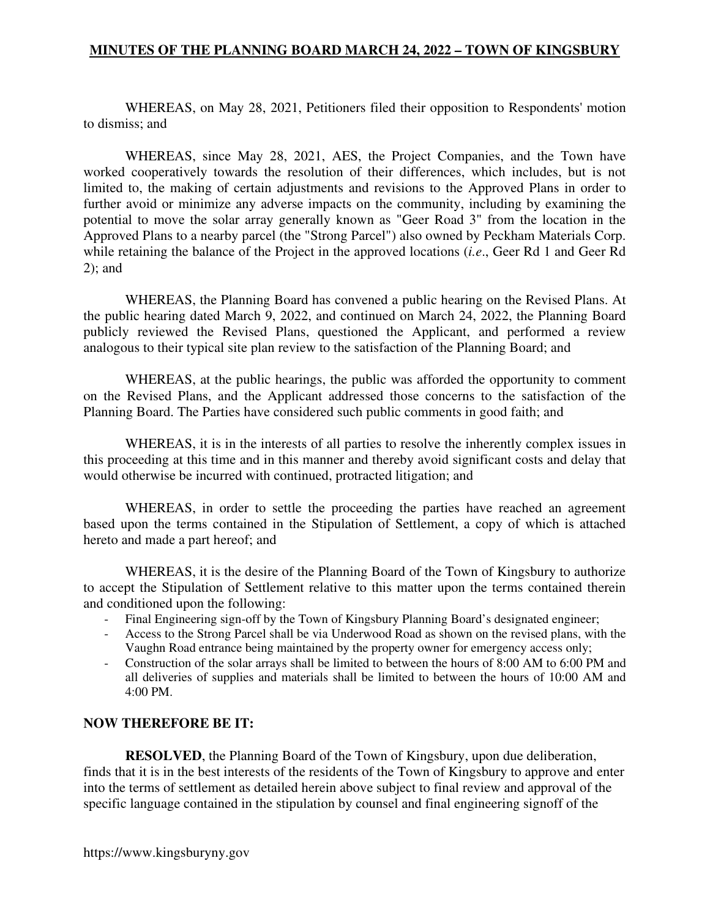WHEREAS, on May 28, 2021, Petitioners filed their opposition to Respondents' motion to dismiss; and

WHEREAS, since May 28, 2021, AES, the Project Companies, and the Town have worked cooperatively towards the resolution of their differences, which includes, but is not limited to, the making of certain adjustments and revisions to the Approved Plans in order to further avoid or minimize any adverse impacts on the community, including by examining the potential to move the solar array generally known as "Geer Road 3" from the location in the Approved Plans to a nearby parcel (the "Strong Parcel") also owned by Peckham Materials Corp. while retaining the balance of the Project in the approved locations (*i.e*., Geer Rd 1 and Geer Rd 2); and

WHEREAS, the Planning Board has convened a public hearing on the Revised Plans. At the public hearing dated March 9, 2022, and continued on March 24, 2022, the Planning Board publicly reviewed the Revised Plans, questioned the Applicant, and performed a review analogous to their typical site plan review to the satisfaction of the Planning Board; and

WHEREAS, at the public hearings, the public was afforded the opportunity to comment on the Revised Plans, and the Applicant addressed those concerns to the satisfaction of the Planning Board. The Parties have considered such public comments in good faith; and

WHEREAS, it is in the interests of all parties to resolve the inherently complex issues in this proceeding at this time and in this manner and thereby avoid significant costs and delay that would otherwise be incurred with continued, protracted litigation; and

WHEREAS, in order to settle the proceeding the parties have reached an agreement based upon the terms contained in the Stipulation of Settlement, a copy of which is attached hereto and made a part hereof; and

WHEREAS, it is the desire of the Planning Board of the Town of Kingsbury to authorize to accept the Stipulation of Settlement relative to this matter upon the terms contained therein and conditioned upon the following:

- Final Engineering sign-off by the Town of Kingsbury Planning Board's designated engineer;
- Access to the Strong Parcel shall be via Underwood Road as shown on the revised plans, with the Vaughn Road entrance being maintained by the property owner for emergency access only;
- Construction of the solar arrays shall be limited to between the hours of 8:00 AM to 6:00 PM and all deliveries of supplies and materials shall be limited to between the hours of 10:00 AM and 4:00 PM.

#### **NOW THEREFORE BE IT:**

**RESOLVED**, the Planning Board of the Town of Kingsbury, upon due deliberation, finds that it is in the best interests of the residents of the Town of Kingsbury to approve and enter into the terms of settlement as detailed herein above subject to final review and approval of the specific language contained in the stipulation by counsel and final engineering signoff of the